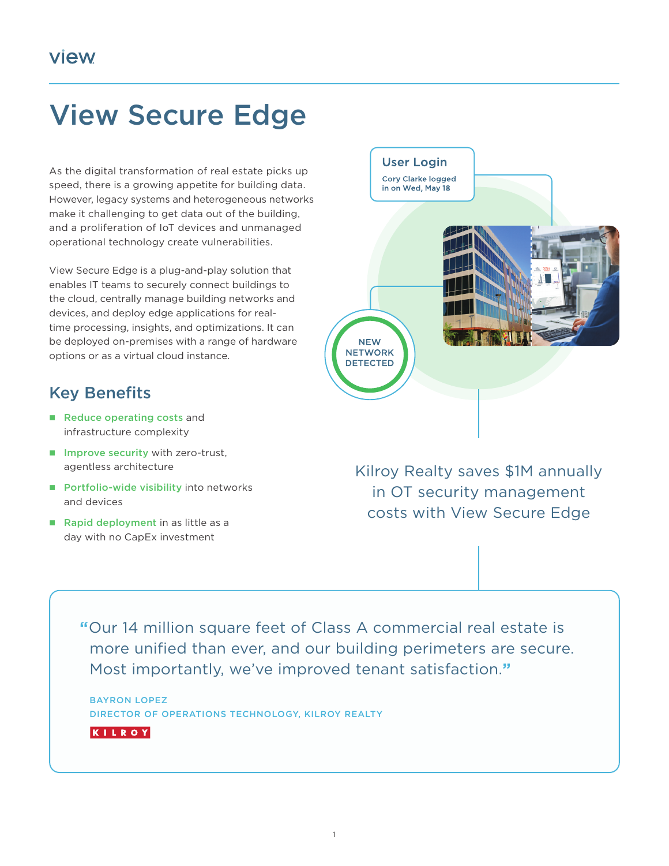## View Secure Edge

As the digital transformation of real estate picks up speed, there is a growing appetite for building data. However, legacy systems and heterogeneous networks make it challenging to get data out of the building, and a proliferation of IoT devices and unmanaged operational technology create vulnerabilities.

View Secure Edge is a plug-and-play solution that enables IT teams to securely connect buildings to the cloud, centrally manage building networks and devices, and deploy edge applications for realtime processing, insights, and optimizations. It can be deployed on-premises with a range of hardware options or as a virtual cloud instance.

## Key Benefits

- Reduce operating costs and infrastructure complexity
- $\blacksquare$  Improve security with zero-trust, agentless architecture
- Portfolio-wide visibility into networks and devices
- Rapid deployment in as little as a day with no CapEx investment

**NEW NETWORK DETECTED** Kilroy Realty saves \$1M annually

**User Login** Cory Clarke logged in on Wed, May 18

in OT security management costs with View Secure Edge

**"**Our 14 million square feet of Class A commercial real estate is more unified than ever, and our building perimeters are secure. Most importantly, we've improved tenant satisfaction.**"**

BAYRON LOPEZ DIRECTOR OF OPERATIONS TECHNOLOGY, KILROY REALTY

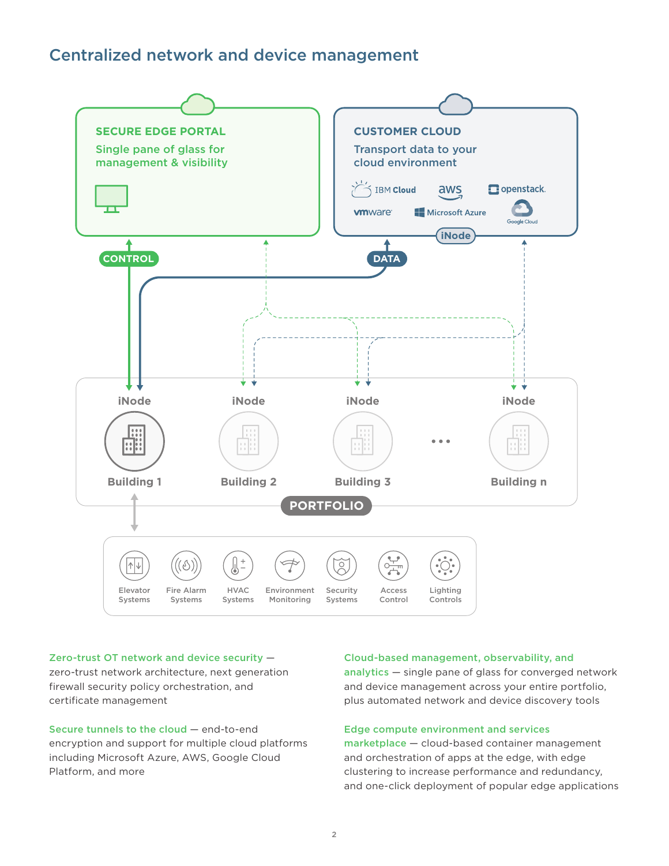## Centralized network and device management



#### Zero-trust OT network and device security —

zero-trust network architecture, next generation firewall security policy orchestration, and certificate management

Secure tunnels to the cloud — end-to-end encryption and support for multiple cloud platforms including Microsoft Azure, AWS, Google Cloud Platform, and more

#### Cloud-based management, observability, and

analytics — single pane of glass for converged network and device management across your entire portfolio, plus automated network and device discovery tools

#### Edge compute environment and services

marketplace — cloud-based container management and orchestration of apps at the edge, with edge clustering to increase performance and redundancy, and one-click deployment of popular edge applications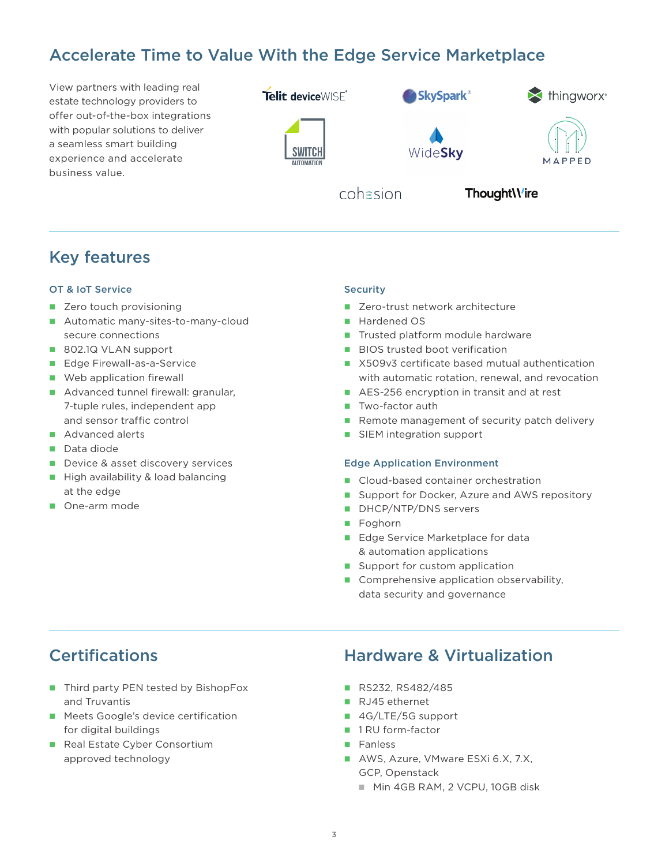## Accelerate Time to Value With the Edge Service Marketplace

View partners with leading real estate technology providers to offer out-of-the-box integrations with popular solutions to deliver a seamless smart building experience and accelerate business value.



## Key features

#### OT & IoT Service

- Zero touch provisioning
- Automatic many-sites-to-many-cloud secure connections
- 802.1Q VLAN support
- Edge Firewall-as-a-Service
- **Web application firewall**
- Advanced tunnel firewall: granular, 7-tuple rules, independent app and sensor traffic control
- Advanced alerts
- Data diode
- Device & asset discovery services
- $\blacksquare$  High availability & load balancing at the edge
- One-arm mode

#### **Security**

- Zero-trust network architecture
- Hardened OS
- Trusted platform module hardware
- **BIOS trusted boot verification**
- X509v3 certificate based mutual authentication with automatic rotation, renewal, and revocation
- AES-256 encryption in transit and at rest
- **T** Two-factor auth
- Remote management of security patch delivery
- SIEM integration support

### Edge Application Environment

- Cloud-based container orchestration
- Support for Docker, Azure and AWS repository
- DHCP/NTP/DNS servers
- Foghorn
- Edge Service Marketplace for data & automation applications
- Support for custom application
- Comprehensive application observability, data security and governance

- Third party PEN tested by BishopFox and Truvantis
- **Meets Google's device certification** for digital buildings
- Real Estate Cyber Consortium approved technology

### Certifications Hardware & Virtualization

- RS232, RS482/485
- RJ45 ethernet
- 4G/LTE/5G support
- 1 RU form-factor
- **Fanless**
- AWS, Azure, VMware ESXi 6.X, 7.X, GCP, Openstack
	- Min 4GB RAM, 2 VCPU, 10GB disk